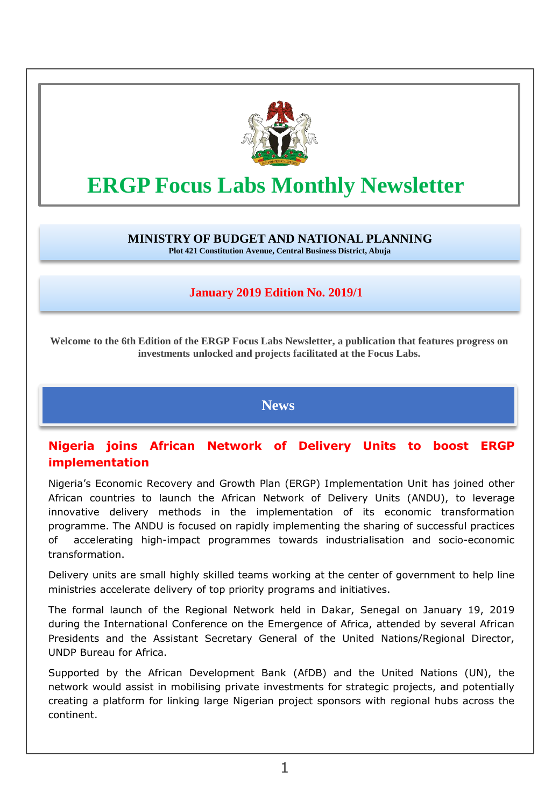

# **ERGP Focus Labs Monthly Newsletter**

**MINISTRY OF BUDGET AND NATIONAL PLANNING Plot 421 Constitution Avenue, Central Business District, Abuja**

### **January 2019 Edition No. 2019/1**

**Welcome to the 6th Edition of the ERGP Focus Labs Newsletter, a publication that features progress on investments unlocked and projects facilitated at the Focus Labs.**

**News**

## **Nigeria joins African Network of Delivery Units to boost ERGP implementation**

Nigeria's Economic Recovery and Growth Plan (ERGP) Implementation Unit has joined other African countries to launch the African Network of Delivery Units (ANDU), to leverage innovative delivery methods in the implementation of its economic transformation programme. The ANDU is focused on rapidly implementing the sharing of successful practices of accelerating high-impact programmes towards industrialisation and socio-economic transformation.

Delivery units are small highly skilled teams working at the center of government to help line ministries accelerate delivery of top priority programs and initiatives.

The formal launch of the Regional Network held in Dakar, Senegal on January 19, 2019 during the International Conference on the Emergence of Africa, attended by several African Presidents and the Assistant Secretary General of the United Nations/Regional Director, UNDP Bureau for Africa.

Supported by the African Development Bank (AfDB) and the United Nations (UN), the network would assist in mobilising private investments for strategic projects, and potentially creating a platform for linking large Nigerian project sponsors with regional hubs across the continent.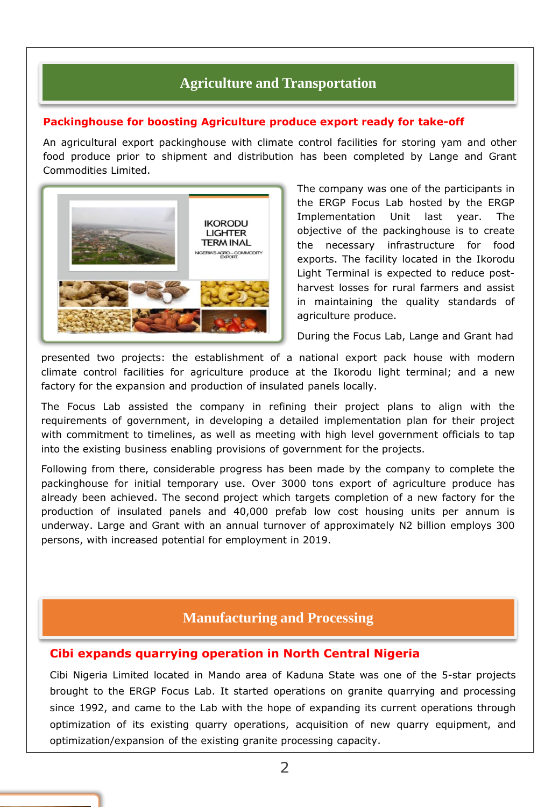# **Agriculture and Transportation**

#### **Packinghouse for boosting Agriculture produce export ready for take-off**

An agricultural export packinghouse with climate control facilities for storing yam and other food produce prior to shipment and distribution has been completed by Lange and Grant Commodities Limited.



The company was one of the participants in the ERGP Focus Lab hosted by the ERGP Implementation Unit last year. The objective of the packinghouse is to create the necessary infrastructure for food exports. The facility located in the Ikorodu Light Terminal is expected to reduce postharvest losses for rural farmers and assist in maintaining the quality standards of agriculture produce.

During the Focus Lab, Lange and Grant had

presented two projects: the establishment of a national export pack house with modern climate control facilities for agriculture produce at the Ikorodu light terminal; and a new factory for the expansion and production of insulated panels locally.

The Focus Lab assisted the company in refining their project plans to align with the requirements of government, in developing a detailed implementation plan for their project with commitment to timelines, as well as meeting with high level government officials to tap into the existing business enabling provisions of government for the projects.

Following from there, considerable progress has been made by the company to complete the packinghouse for initial temporary use. Over 3000 tons export of agriculture produce has already been achieved. The second project which targets completion of a new factory for the production of insulated panels and 40,000 prefab low cost housing units per annum is underway. Large and Grant with an annual turnover of approximately N2 billion employs 300 persons, with increased potential for employment in 2019.

## **Manufacturing and Processing**

#### **Cibi expands quarrying operation in North Central Nigeria**

Cibi Nigeria Limited located in Mando area of Kaduna State was one of the 5-star projects brought to the ERGP Focus Lab. It started operations on granite quarrying and processing since 1992, and came to the Lab with the hope of expanding its current operations through optimization of its existing quarry operations, acquisition of new quarry equipment, and optimization/expansion of the existing granite processing capacity.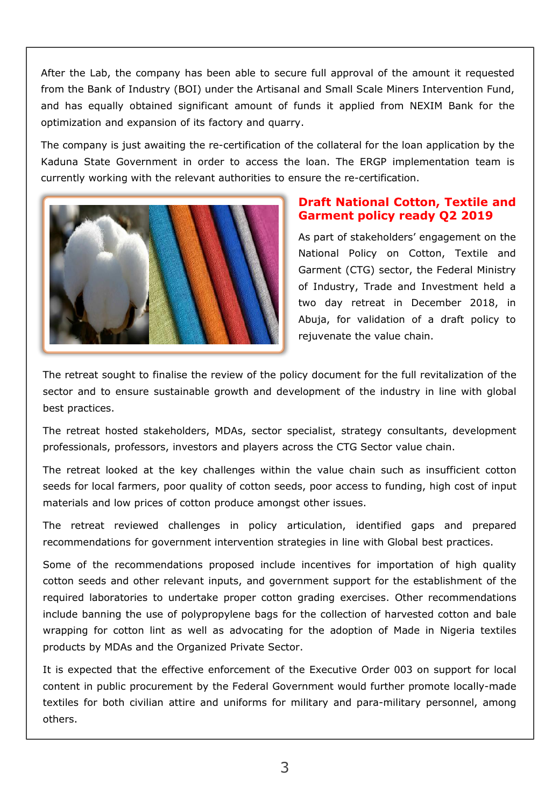After the Lab, the company has been able to secure full approval of the amount it requested from the Bank of Industry (BOI) under the Artisanal and Small Scale Miners Intervention Fund, and has equally obtained significant amount of funds it applied from NEXIM Bank for the optimization and expansion of its factory and quarry.

The company is just awaiting the re-certification of the collateral for the loan application by the Kaduna State Government in order to access the loan. The ERGP implementation team is currently working with the relevant authorities to ensure the re-certification.



### **Draft National Cotton, Textile and Garment policy ready Q2 2019**

As part of stakeholders' engagement on the National Policy on Cotton, Textile and Garment (CTG) sector, the Federal Ministry of Industry, Trade and Investment held a two day retreat in December 2018, in Abuja, for validation of a draft policy to rejuvenate the value chain.

The retreat sought to finalise the review of the policy document for the full revitalization of the sector and to ensure sustainable growth and development of the industry in line with global best practices.

The retreat hosted stakeholders, MDAs, sector specialist, strategy consultants, development professionals, professors, investors and players across the CTG Sector value chain.

The retreat looked at the key challenges within the value chain such as insufficient cotton seeds for local farmers, poor quality of cotton seeds, poor access to funding, high cost of input materials and low prices of cotton produce amongst other issues.

The retreat reviewed challenges in policy articulation, identified gaps and prepared recommendations for government intervention strategies in line with Global best practices.

Some of the recommendations proposed include incentives for importation of high quality cotton seeds and other relevant inputs, and government support for the establishment of the required laboratories to undertake proper cotton grading exercises. Other recommendations include banning the use of polypropylene bags for the collection of harvested cotton and bale wrapping for cotton lint as well as advocating for the adoption of Made in Nigeria textiles products by MDAs and the Organized Private Sector.

It is expected that the effective enforcement of the Executive Order 003 on support for local content in public procurement by the Federal Government would further promote locally-made textiles for both civilian attire and uniforms for military and para-military personnel, among others.